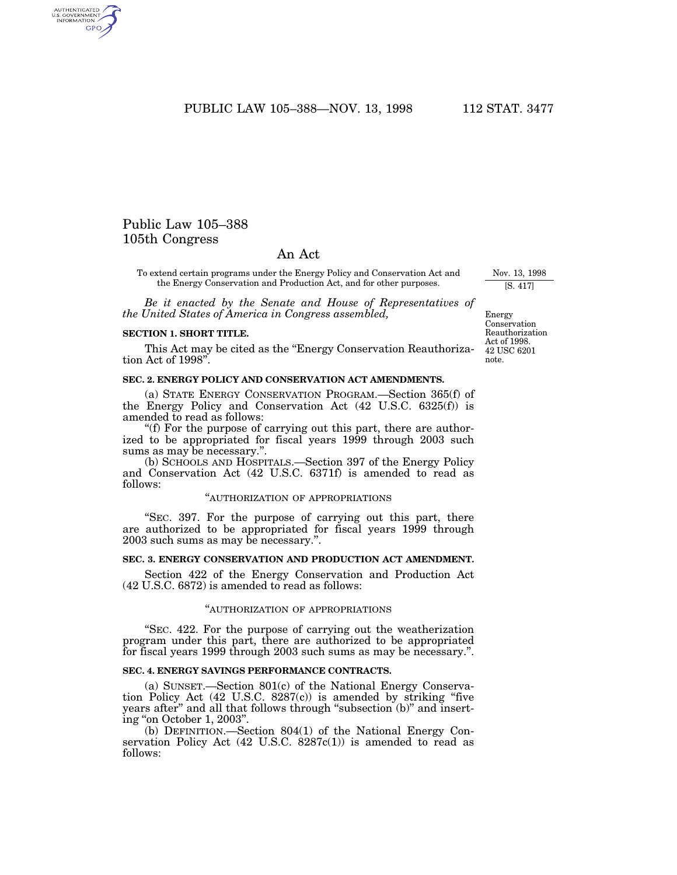PUBLIC LAW 105-388-NOV. 13, 1998 112 STAT. 3477

# Public Law 105–388 105th Congress

AUTHENTICATED<br>U.S. GOVERNMENT<br>INFORMATION GPO

# An Act

To extend certain programs under the Energy Policy and Conservation Act and the Energy Conservation and Production Act, and for other purposes.

*Be it enacted by the Senate and House of Representatives of the United States of America in Congress assembled,*

#### **SECTION 1. SHORT TITLE.**

This Act may be cited as the ''Energy Conservation Reauthorization Act of 1998''.

#### **SEC. 2. ENERGY POLICY AND CONSERVATION ACT AMENDMENTS.**

(a) STATE ENERGY CONSERVATION PROGRAM.—Section 365(f) of the Energy Policy and Conservation Act (42 U.S.C. 6325(f)) is amended to read as follows:

''(f) For the purpose of carrying out this part, there are authorized to be appropriated for fiscal years 1999 through 2003 such sums as may be necessary.''.

(b) SCHOOLS AND HOSPITALS.—Section 397 of the Energy Policy and Conservation Act (42 U.S.C. 6371f) is amended to read as follows:

# ''AUTHORIZATION OF APPROPRIATIONS

''SEC. 397. For the purpose of carrying out this part, there are authorized to be appropriated for fiscal years 1999 through 2003 such sums as may be necessary.''.

# **SEC. 3. ENERGY CONSERVATION AND PRODUCTION ACT AMENDMENT.**

Section 422 of the Energy Conservation and Production Act (42 U.S.C. 6872) is amended to read as follows:

#### ''AUTHORIZATION OF APPROPRIATIONS

''SEC. 422. For the purpose of carrying out the weatherization program under this part, there are authorized to be appropriated for fiscal years 1999 through 2003 such sums as may be necessary.''.

### **SEC. 4. ENERGY SAVINGS PERFORMANCE CONTRACTS.**

(a) SUNSET.—Section 801(c) of the National Energy Conservation Policy Act (42 U.S.C. 8287(c)) is amended by striking ''five years after'' and all that follows through ''subsection (b)'' and inserting ''on October 1, 2003''.

(b) DEFINITION.—Section 804(1) of the National Energy Conservation Policy Act  $(42 \text{ U.S.C. } 8287c(1))$  is amended to read as follows:

Energy Conservation Reauthorization Act of 1998. 42 USC 6201 note.

Nov. 13, 1998 [S. 417]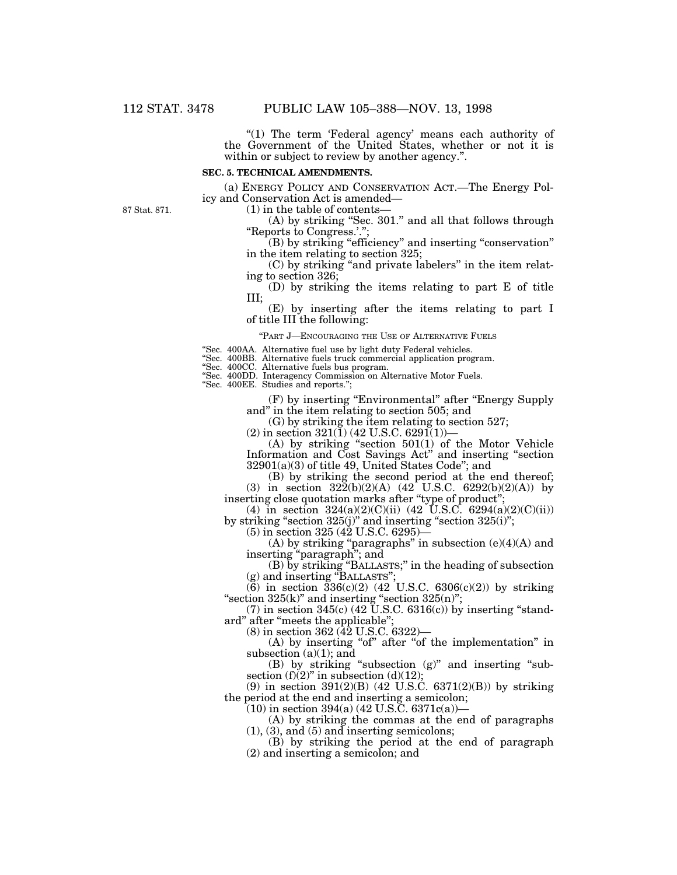"(1) The term 'Federal agency' means each authority of the Government of the United States, whether or not it is within or subject to review by another agency.".

#### **SEC. 5. TECHNICAL AMENDMENTS.**

(a) ENERGY POLICY AND CONSERVATION ACT.—The Energy Policy and Conservation Act is amended—

87 Stat. 871.

 $(1)$  in the table of contents-

(A) by striking ''Sec. 301.'' and all that follows through "Reports to Congress.'."

(B) by striking ''efficiency'' and inserting ''conservation'' in the item relating to section 325;

(C) by striking ''and private labelers'' in the item relating to section 326;

(D) by striking the items relating to part E of title III;

(E) by inserting after the items relating to part I of title III the following:

''PART J—ENCOURAGING THE USE OF ALTERNATIVE FUELS

''Sec. 400AA. Alternative fuel use by light duty Federal vehicles.

''Sec. 400BB. Alternative fuels truck commercial application program.

''Sec. 400CC. Alternative fuels bus program.

''Sec. 400DD. Interagency Commission on Alternative Motor Fuels.

''Sec. 400EE. Studies and reports.'';

(F) by inserting ''Environmental'' after ''Energy Supply and'' in the item relating to section 505; and

(G) by striking the item relating to section 527;

(2) in section 321(1) (42 U.S.C. 6291(1))-

(A) by striking ''section 501(1) of the Motor Vehicle Information and Cost Savings Act'' and inserting ''section 32901(a)(3) of title 49, United States Code''; and

(B) by striking the second period at the end thereof; (3) in section  $32\overline{2}(b)(2)(A)$  (42 U.S.C. 6292(b)(2)(A)) by

inserting close quotation marks after ''type of product'';

(4) in section  $324(a)(2)(C)(ii)$  (42 U.S.C.  $6294(a)(2)(C)(ii)$ ) by striking "section  $325(j)$ " and inserting "section  $325(i)$ ";

 $(5)$  in section 325 (42 U.S.C. 6295)—

 $(A)$  by striking "paragraphs" in subsection  $(e)(4)(A)$  and inserting ''paragraph''; and

(B) by striking ''BALLASTS;'' in the heading of subsection (g) and inserting "BALLASTS";

(6) in section  $336(c)(2)$  (42 U.S.C. 6306(c)(2)) by striking " $\text{section } 325(\text{k})$ " and inserting " $\text{section } 325(\text{n})$ ";

 $(7)$  in section 345 $(c)$  (42 U.S.C. 6316 $(c)$ ) by inserting "standard" after "meets the applicable";

(8) in section 362 (42 U.S.C. 6322)—

 $(A)$  by inserting "of" after "of the implementation" in subsection  $(a)(1)$ ; and

(B) by striking ''subsection (g)'' and inserting ''subsection  $(f)(2)$ " in subsection  $(d)(12)$ ;

(9) in section 391(2)(B) (42 U.S.C. 6371(2)(B)) by striking the period at the end and inserting a semicolon;

 $(10)$  in section 394(a) (42 U.S.C. 6371c(a))-

(A) by striking the commas at the end of paragraphs  $(1), (3),$  and  $(5)$  and inserting semicolons;

(B) by striking the period at the end of paragraph (2) and inserting a semicolon; and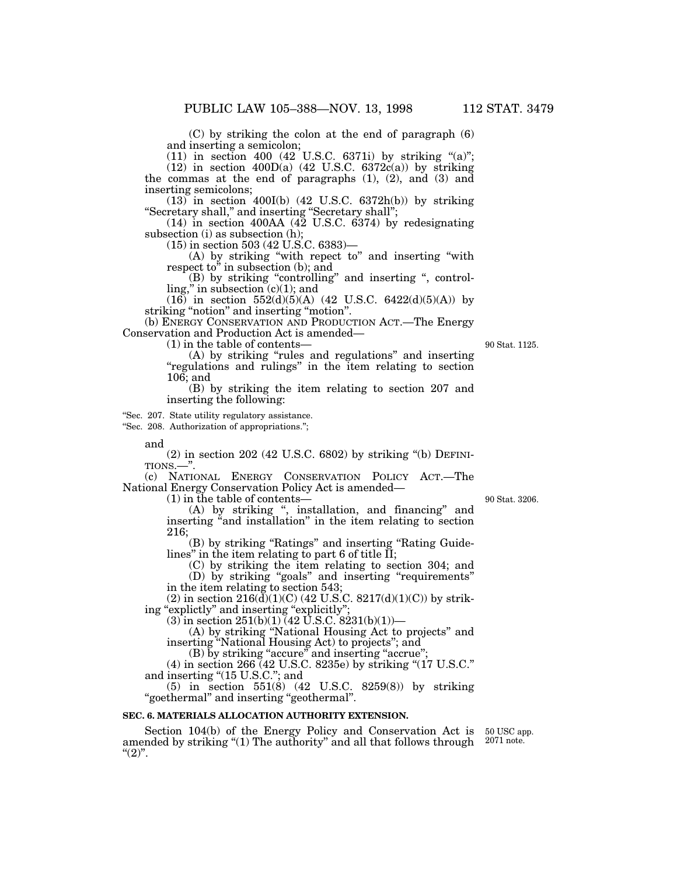(C) by striking the colon at the end of paragraph (6) and inserting a semicolon;

 $(11)$  in section 400  $(42 \text{ }^{\circ}$  U.S.C. 6371i) by striking "(a)";

 $(12)$  in section  $400D(a)$  (42 U.S.C. 6372 $c(a)$ ) by striking the commas at the end of paragraphs (1), (2), and (3) and inserting semicolons;

 $(13)$  in section 400I(b) (42 U.S.C. 6372h(b)) by striking ''Secretary shall,'' and inserting ''Secretary shall'';

(14) in section 400AA (42 U.S.C. 6374) by redesignating subsection (i) as subsection (h);

(15) in section 503 (42 U.S.C. 6383)—

(A) by striking ''with repect to'' and inserting ''with respect to'' in subsection (b); and

(B) by striking "controlling" and inserting ", control $ling,$ " in subsection  $(c)(1)$ ; and

 $(16)$  in section 552(d)(5)(A) (42 U.S.C. 6422(d)(5)(A)) by striking "notion" and inserting "motion".

(b) ENERGY CONSERVATION AND PRODUCTION ACT.—The Energy Conservation and Production Act is amended—

(1) in the table of contents—

(A) by striking "rules and regulations" and inserting ''regulations and rulings'' in the item relating to section 106; and

(B) by striking the item relating to section 207 and inserting the following:

''Sec. 207. State utility regulatory assistance.

''Sec. 208. Authorization of appropriations.'';

and

(2) in section 202 (42 U.S.C. 6802) by striking ''(b) DEFINI-TIONS.—''.

(c) NATIONAL ENERGY CONSERVATION POLICY ACT.—The National Energy Conservation Policy Act is amended—

(1) in the table of contents—

(A) by striking '', installation, and financing'' and inserting "and installation" in the item relating to section 216;

(B) by striking ''Ratings'' and inserting ''Rating Guidelines" in the item relating to part 6 of title  $\overline{II}$ ;

(C) by striking the item relating to section 304; and (D) by striking ''goals'' and inserting ''requirements'' in the item relating to section 543;

(2) in section  $216(\bar{d})(1)(C)$  (42 U.S.C.  $8217(d)(1)(C)$ ) by striking "explictly" and inserting "explicitly"

(3) in section  $251(b)(1)$  (42 U.S.C. 8231(b)(1))—

(A) by striking ''National Housing Act to projects'' and inserting ''National Housing Act) to projects''; and

(B) by striking "accure" and inserting "accrue";

 $(4)$  in section 266 (42 U.S.C. 8235e) by striking " $(17 \text{ U.S.C.})$ " and inserting "(15 U.S.C."; and

(5) in section 551(8) (42 U.S.C. 8259(8)) by striking ''goethermal'' and inserting ''geothermal''.

#### **SEC. 6. MATERIALS ALLOCATION AUTHORITY EXTENSION.**

Section 104(b) of the Energy Policy and Conservation Act is amended by striking "(1) The authority" and all that follows through  $"^{(2)"}.$ 

50 USC app. 2071 note.

90 Stat. 3206.

90 Stat. 1125.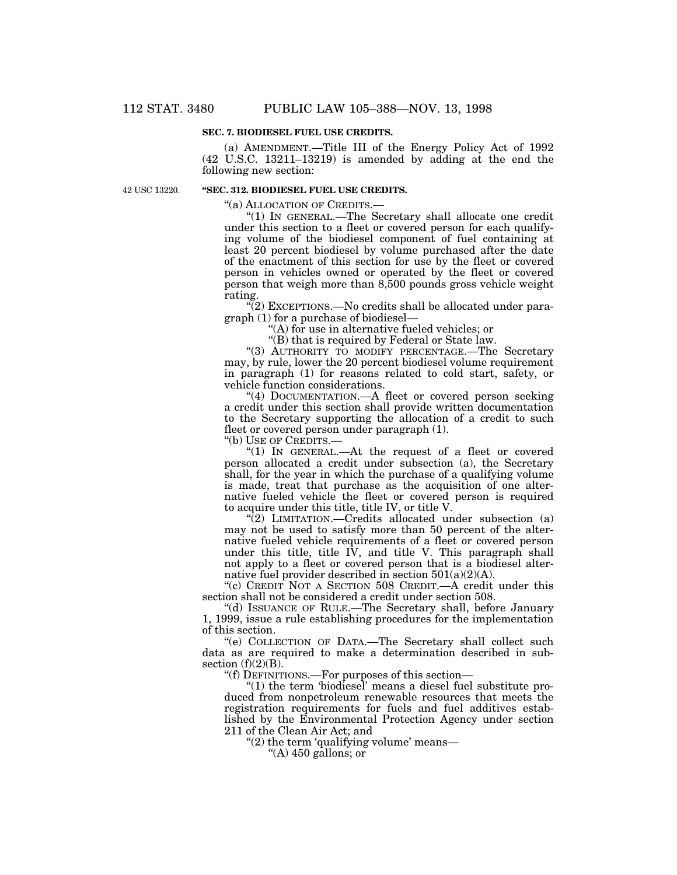#### **SEC. 7. BIODIESEL FUEL USE CREDITS.**

(a) AMENDMENT.—Title III of the Energy Policy Act of 1992 (42 U.S.C. 13211–13219) is amended by adding at the end the following new section:

42 USC 13220.

## **''SEC. 312. BIODIESEL FUEL USE CREDITS.**

''(a) ALLOCATION OF CREDITS.—

''(1) IN GENERAL.—The Secretary shall allocate one credit under this section to a fleet or covered person for each qualifying volume of the biodiesel component of fuel containing at least 20 percent biodiesel by volume purchased after the date of the enactment of this section for use by the fleet or covered person in vehicles owned or operated by the fleet or covered person that weigh more than 8,500 pounds gross vehicle weight rating.

 $\sqrt[4]{(2)}$  EXCEPTIONS.—No credits shall be allocated under paragraph (1) for a purchase of biodiesel—

''(A) for use in alternative fueled vehicles; or

''(B) that is required by Federal or State law.

"(3) AUTHORITY TO MODIFY PERCENTAGE. The Secretary may, by rule, lower the 20 percent biodiesel volume requirement in paragraph (1) for reasons related to cold start, safety, or vehicle function considerations.

''(4) DOCUMENTATION.—A fleet or covered person seeking a credit under this section shall provide written documentation to the Secretary supporting the allocation of a credit to such fleet or covered person under paragraph (1).

''(b) USE OF CREDITS.—

"(1) In GENERAL.—At the request of a fleet or covered person allocated a credit under subsection (a), the Secretary shall, for the year in which the purchase of a qualifying volume is made, treat that purchase as the acquisition of one alternative fueled vehicle the fleet or covered person is required to acquire under this title, title IV, or title V.

"(2) LIMITATION.—Credits allocated under subsection (a) may not be used to satisfy more than 50 percent of the alternative fueled vehicle requirements of a fleet or covered person under this title, title IV, and title V. This paragraph shall not apply to a fleet or covered person that is a biodiesel alternative fuel provider described in section  $501(a)(2)(A)$ .

''(c) CREDIT NOT A SECTION 508 CREDIT.—A credit under this section shall not be considered a credit under section 508.

''(d) ISSUANCE OF RULE.—The Secretary shall, before January 1, 1999, issue a rule establishing procedures for the implementation of this section.

''(e) COLLECTION OF DATA.—The Secretary shall collect such data as are required to make a determination described in subsection  $(f)(2)(B)$ .

''(f) DEFINITIONS.—For purposes of this section—

" $(1)$  the term 'biodiesel' means a diesel fuel substitute produced from nonpetroleum renewable resources that meets the registration requirements for fuels and fuel additives established by the Environmental Protection Agency under section 211 of the Clean Air Act; and

" $(2)$  the term 'qualifying volume' means—

"(A)  $450$  gallons; or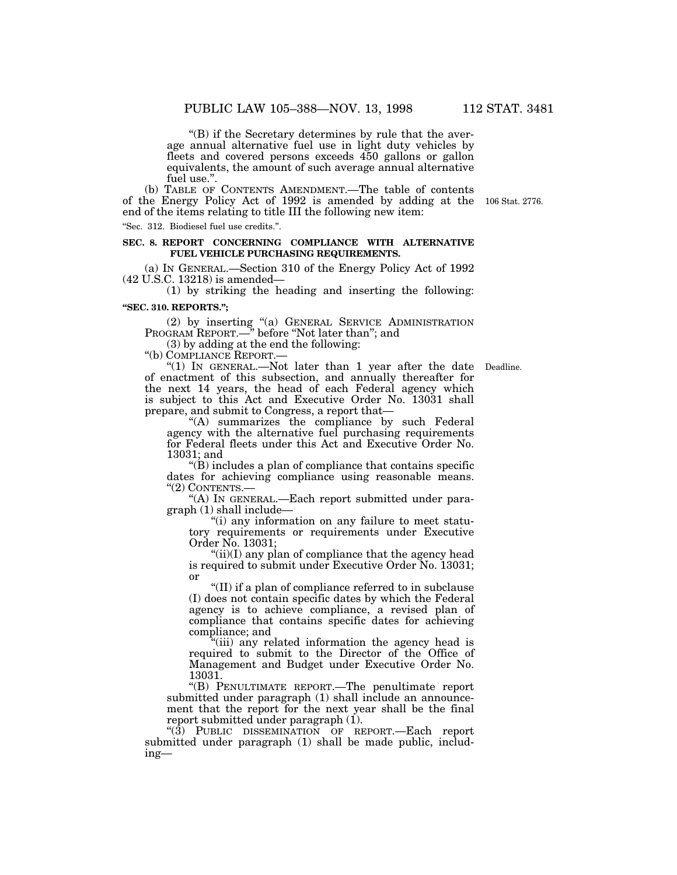''(B) if the Secretary determines by rule that the average annual alternative fuel use in light duty vehicles by fleets and covered persons exceeds 450 gallons or gallon equivalents, the amount of such average annual alternative fuel use.''.

(b) TABLE OF CONTENTS AMENDMENT.—The table of contents of the Energy Policy Act of 1992 is amended by adding at the 106 Stat. 2776.end of the items relating to title III the following new item:

''Sec. 312. Biodiesel fuel use credits.''.

#### **SEC. 8. REPORT CONCERNING COMPLIANCE WITH ALTERNATIVE FUEL VEHICLE PURCHASING REQUIREMENTS.**

(a) IN GENERAL.—Section 310 of the Energy Policy Act of 1992 (42 U.S.C. 13218) is amended—

(1) by striking the heading and inserting the following:

# **''SEC. 310. REPORTS.'';**

(2) by inserting ''(a) GENERAL SERVICE ADMINISTRATION PROGRAM REPORT.—'' before ''Not later than''; and

(3) by adding at the end the following:

''(b) COMPLIANCE REPORT.—

" $(1)$  In GENERAL.—Not later than 1 year after the date Deadline. of enactment of this subsection, and annually thereafter for the next 14 years, the head of each Federal agency which is subject to this Act and Executive Order No. 13031 shall prepare, and submit to Congress, a report that—

''(A) summarizes the compliance by such Federal agency with the alternative fuel purchasing requirements for Federal fleets under this Act and Executive Order No. 13031; and

 $\mathrm{``(B)}$  includes a plan of compliance that contains specific dates for achieving compliance using reasonable means. "(2) CONTENTS.

''(A) IN GENERAL.—Each report submitted under paragraph (1) shall include—

''(i) any information on any failure to meet statutory requirements or requirements under Executive Order No. 13031;

" $(ii)(I)$  any plan of compliance that the agency head is required to submit under Executive Order No. 13031; or

''(II) if a plan of compliance referred to in subclause (I) does not contain specific dates by which the Federal agency is to achieve compliance, a revised plan of compliance that contains specific dates for achieving compliance; and

''(iii) any related information the agency head is required to submit to the Director of the Office of Management and Budget under Executive Order No. 13031.

''(B) PENULTIMATE REPORT.—The penultimate report submitted under paragraph (1) shall include an announcement that the report for the next year shall be the final report submitted under paragraph (1).

''(3) PUBLIC DISSEMINATION OF REPORT.—Each report submitted under paragraph (1) shall be made public, including—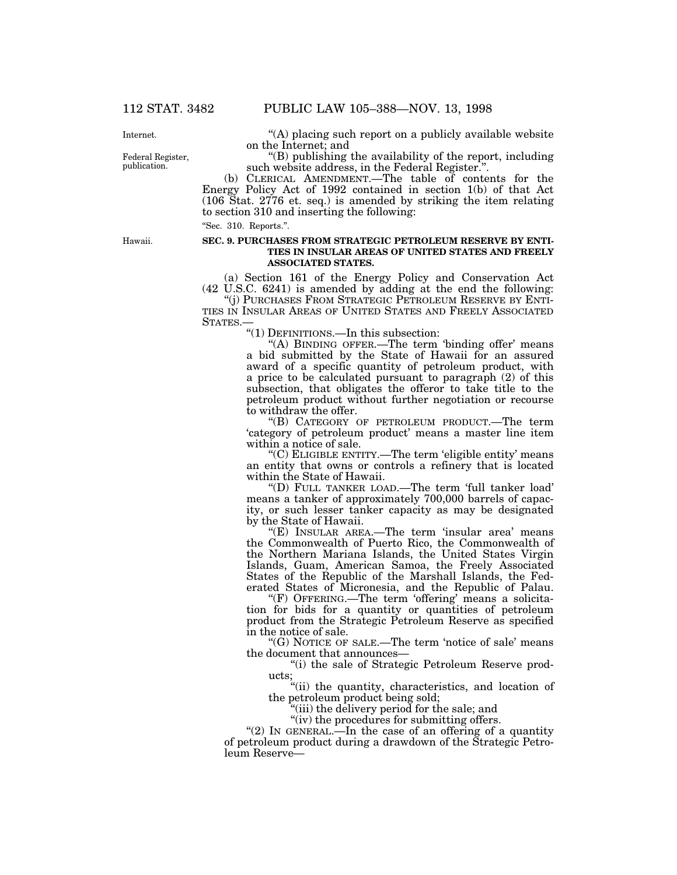Internet.

Federal Register, publication.

''(A) placing such report on a publicly available website on the Internet; and

''(B) publishing the availability of the report, including such website address, in the Federal Register.''.

(b) CLERICAL AMENDMENT.—The table of contents for the Energy Policy Act of 1992 contained in section 1(b) of that Act (106 Stat. 2776 et. seq.) is amended by striking the item relating to section 310 and inserting the following:

''Sec. 310. Reports.''.

Hawaii.

#### **SEC. 9. PURCHASES FROM STRATEGIC PETROLEUM RESERVE BY ENTI-TIES IN INSULAR AREAS OF UNITED STATES AND FREELY ASSOCIATED STATES.**

(a) Section 161 of the Energy Policy and Conservation Act (42 U.S.C. 6241) is amended by adding at the end the following:

''(j) PURCHASES FROM STRATEGIC PETROLEUM RESERVE BY ENTI-TIES IN INSULAR AREAS OF UNITED STATES AND FREELY ASSOCIATED STATES.—

''(1) DEFINITIONS.—In this subsection:

"(A) BINDING OFFER.—The term 'binding offer' means a bid submitted by the State of Hawaii for an assured award of a specific quantity of petroleum product, with a price to be calculated pursuant to paragraph (2) of this subsection, that obligates the offeror to take title to the petroleum product without further negotiation or recourse to withdraw the offer.

''(B) CATEGORY OF PETROLEUM PRODUCT.—The term 'category of petroleum product' means a master line item within a notice of sale.

''(C) ELIGIBLE ENTITY.—The term 'eligible entity' means an entity that owns or controls a refinery that is located within the State of Hawaii.

''(D) FULL TANKER LOAD.—The term 'full tanker load' means a tanker of approximately 700,000 barrels of capacity, or such lesser tanker capacity as may be designated by the State of Hawaii.

"(E) INSULAR AREA.—The term 'insular area' means the Commonwealth of Puerto Rico, the Commonwealth of the Northern Mariana Islands, the United States Virgin Islands, Guam, American Samoa, the Freely Associated States of the Republic of the Marshall Islands, the Federated States of Micronesia, and the Republic of Palau.

"(F) OFFERING.—The term 'offering' means a solicitation for bids for a quantity or quantities of petroleum product from the Strategic Petroleum Reserve as specified in the notice of sale.

"(G) NOTICE OF SALE.—The term 'notice of sale' means the document that announces—

''(i) the sale of Strategic Petroleum Reserve products;

''(ii) the quantity, characteristics, and location of the petroleum product being sold;

(iii) the delivery period for the sale; and

"(iv) the procedures for submitting offers.

"(2) In GENERAL.—In the case of an offering of a quantity of petroleum product during a drawdown of the Strategic Petroleum Reserve—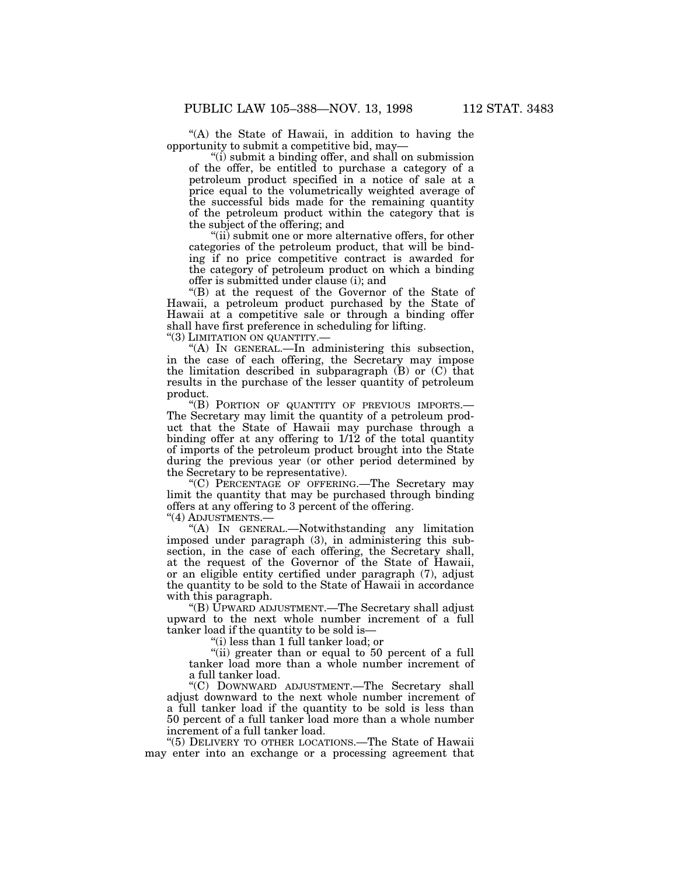''(A) the State of Hawaii, in addition to having the opportunity to submit a competitive bid, may—

''(i) submit a binding offer, and shall on submission of the offer, be entitled to purchase a category of a petroleum product specified in a notice of sale at a price equal to the volumetrically weighted average of the successful bids made for the remaining quantity of the petroleum product within the category that is the subject of the offering; and

"(ii) submit one or more alternative offers, for other categories of the petroleum product, that will be binding if no price competitive contract is awarded for the category of petroleum product on which a binding offer is submitted under clause (i); and

''(B) at the request of the Governor of the State of Hawaii, a petroleum product purchased by the State of Hawaii at a competitive sale or through a binding offer shall have first preference in scheduling for lifting.

"(3) LIMITATION ON QUANTITY.-

''(A) IN GENERAL.—In administering this subsection, in the case of each offering, the Secretary may impose the limitation described in subparagraph  $(B)$  or  $(C)$  that results in the purchase of the lesser quantity of petroleum product.

''(B) PORTION OF QUANTITY OF PREVIOUS IMPORTS.— The Secretary may limit the quantity of a petroleum product that the State of Hawaii may purchase through a binding offer at any offering to 1/12 of the total quantity of imports of the petroleum product brought into the State during the previous year (or other period determined by the Secretary to be representative).

''(C) PERCENTAGE OF OFFERING.—The Secretary may limit the quantity that may be purchased through binding offers at any offering to 3 percent of the offering.

''(4) ADJUSTMENTS.—

''(A) IN GENERAL.—Notwithstanding any limitation imposed under paragraph (3), in administering this subsection, in the case of each offering, the Secretary shall, at the request of the Governor of the State of Hawaii, or an eligible entity certified under paragraph (7), adjust the quantity to be sold to the State of Hawaii in accordance with this paragraph.

''(B) UPWARD ADJUSTMENT.—The Secretary shall adjust upward to the next whole number increment of a full tanker load if the quantity to be sold is—

''(i) less than 1 full tanker load; or

''(ii) greater than or equal to 50 percent of a full tanker load more than a whole number increment of a full tanker load.

''(C) DOWNWARD ADJUSTMENT.—The Secretary shall adjust downward to the next whole number increment of a full tanker load if the quantity to be sold is less than 50 percent of a full tanker load more than a whole number increment of a full tanker load.

''(5) DELIVERY TO OTHER LOCATIONS.—The State of Hawaii may enter into an exchange or a processing agreement that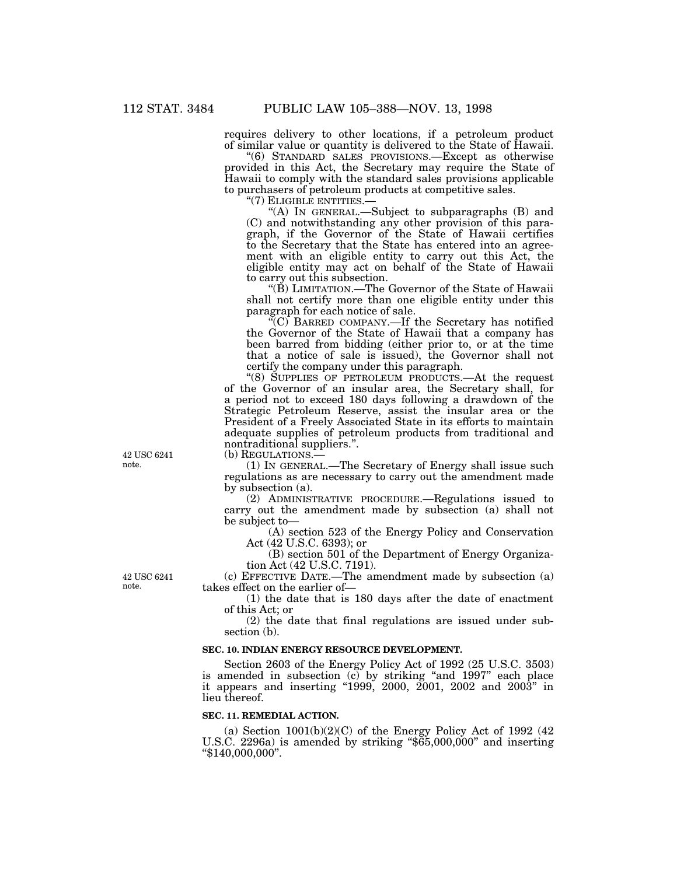requires delivery to other locations, if a petroleum product of similar value or quantity is delivered to the State of Hawaii.

''(6) STANDARD SALES PROVISIONS.—Except as otherwise provided in this Act, the Secretary may require the State of Hawaii to comply with the standard sales provisions applicable to purchasers of petroleum products at competitive sales.

''(7) ELIGIBLE ENTITIES.—

"(A) IN GENERAL.—Subject to subparagraphs (B) and (C) and notwithstanding any other provision of this paragraph, if the Governor of the State of Hawaii certifies to the Secretary that the State has entered into an agreement with an eligible entity to carry out this Act, the eligible entity may act on behalf of the State of Hawaii to carry out this subsection.

''(B) LIMITATION.—The Governor of the State of Hawaii shall not certify more than one eligible entity under this paragraph for each notice of sale.

 $\widetilde{C}(C)$  BARRED COMPANY.—If the Secretary has notified the Governor of the State of Hawaii that a company has been barred from bidding (either prior to, or at the time that a notice of sale is issued), the Governor shall not certify the company under this paragraph.

''(8) SUPPLIES OF PETROLEUM PRODUCTS.—At the request of the Governor of an insular area, the Secretary shall, for a period not to exceed 180 days following a drawdown of the Strategic Petroleum Reserve, assist the insular area or the President of a Freely Associated State in its efforts to maintain adequate supplies of petroleum products from traditional and nontraditional suppliers.''.

(b) REGULATIONS.—

(1) IN GENERAL.—The Secretary of Energy shall issue such regulations as are necessary to carry out the amendment made by subsection (a).

(2) ADMINISTRATIVE PROCEDURE.—Regulations issued to carry out the amendment made by subsection (a) shall not be subject to—

(A) section 523 of the Energy Policy and Conservation Act (42 U.S.C. 6393); or

(B) section 501 of the Department of Energy Organization Act (42 U.S.C. 7191).

(c) EFFECTIVE DATE.—The amendment made by subsection (a) takes effect on the earlier of—

(1) the date that is 180 days after the date of enactment of this Act; or

(2) the date that final regulations are issued under subsection (b).

## **SEC. 10. INDIAN ENERGY RESOURCE DEVELOPMENT.**

Section 2603 of the Energy Policy Act of 1992 (25 U.S.C. 3503) is amended in subsection (c) by striking ''and 1997'' each place it appears and inserting ''1999, 2000, 2001, 2002 and 2003'' in lieu thereof.

## **SEC. 11. REMEDIAL ACTION.**

(a) Section  $1001(b)(2)(C)$  of the Energy Policy Act of 1992 (42) U.S.C. 2296a) is amended by striking " $\tilde{\delta}$ 65,000,000" and inserting ''\$140,000,000''.

42 USC 6241 note.

42 USC 6241 note.